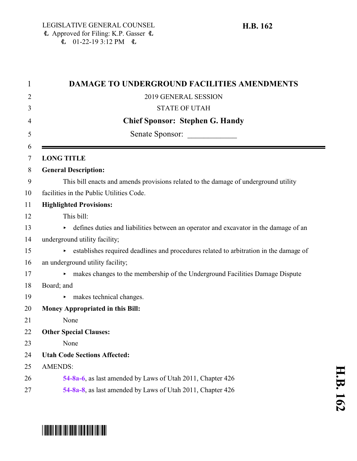\*HB0162\*

| <b>DAMAGE TO UNDERGROUND FACILITIES AMENDMENTS</b>                                    |
|---------------------------------------------------------------------------------------|
| 2019 GENERAL SESSION                                                                  |
| <b>STATE OF UTAH</b>                                                                  |
| <b>Chief Sponsor: Stephen G. Handy</b>                                                |
| Senate Sponsor:                                                                       |
| <b>LONG TITLE</b>                                                                     |
| <b>General Description:</b>                                                           |
| This bill enacts and amends provisions related to the damage of underground utility   |
| facilities in the Public Utilities Code.                                              |
| <b>Highlighted Provisions:</b>                                                        |
| This bill:                                                                            |
| defines duties and liabilities between an operator and excavator in the damage of an  |
| underground utility facility;                                                         |
| establishes required deadlines and procedures related to arbitration in the damage of |
| an underground utility facility;                                                      |
| makes changes to the membership of the Underground Facilities Damage Dispute          |
| Board; and                                                                            |
| makes technical changes.                                                              |
| <b>Money Appropriated in this Bill:</b>                                               |
| None                                                                                  |
| <b>Other Special Clauses:</b>                                                         |
| None                                                                                  |
| <b>Utah Code Sections Affected:</b>                                                   |
| <b>AMENDS:</b>                                                                        |
| 54-8a-6, as last amended by Laws of Utah 2011, Chapter 426                            |
| 54-8a-8, as last amended by Laws of Utah 2011, Chapter 426                            |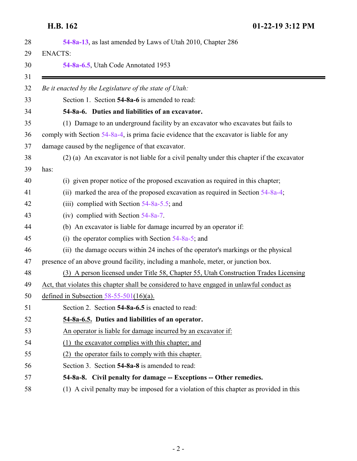<span id="page-1-0"></span>**H.B. 162 01-22-19 3:12 PM**

<span id="page-1-2"></span><span id="page-1-1"></span>

|      | 54-8a-13, as last amended by Laws of Utah 2010, Chapter 286                                |
|------|--------------------------------------------------------------------------------------------|
|      | <b>ENACTS:</b>                                                                             |
|      | 54-8a-6.5, Utah Code Annotated 1953                                                        |
|      | Be it enacted by the Legislature of the state of Utah:                                     |
|      | Section 1. Section 54-8a-6 is amended to read:                                             |
|      | 54-8a-6. Duties and liabilities of an excavator.                                           |
|      | (1) Damage to an underground facility by an excavator who excavates but fails to           |
|      | comply with Section 54-8a-4, is prima facie evidence that the excavator is liable for any  |
|      | damage caused by the negligence of that excavator.                                         |
|      | (2) (a) An excavator is not liable for a civil penalty under this chapter if the excavator |
| has: |                                                                                            |
|      | (i) given proper notice of the proposed excavation as required in this chapter;            |
|      | (ii) marked the area of the proposed excavation as required in Section 54-8a-4;            |
|      | (iii) complied with Section $54-8a-5.5$ ; and                                              |
|      | (iv) complied with Section 54-8a-7.                                                        |
|      | (b) An excavator is liable for damage incurred by an operator if:                          |
|      | (i) the operator complies with Section $54-8a-5$ ; and                                     |
|      | (ii) the damage occurs within 24 inches of the operator's markings or the physical         |
|      | presence of an above ground facility, including a manhole, meter, or junction box.         |
|      | (3) A person licensed under Title 58, Chapter 55, Utah Construction Trades Licensing       |
|      | Act, that violates this chapter shall be considered to have engaged in unlawful conduct as |
|      | defined in Subsection $58-55-501(16)(a)$ .                                                 |
|      | Section 2. Section 54-8a-6.5 is enacted to read:                                           |
|      | 54-8a-6.5. Duties and liabilities of an operator.                                          |
|      | An operator is liable for damage incurred by an excavator if:                              |
|      | the excavator complies with this chapter; and<br>(1)                                       |
|      | (2) the operator fails to comply with this chapter.                                        |
|      | Section 3. Section 54-8a-8 is amended to read:                                             |
|      | 54-8a-8. Civil penalty for damage -- Exceptions -- Other remedies.                         |
|      | (1) A civil penalty may be imposed for a violation of this chapter as provided in this     |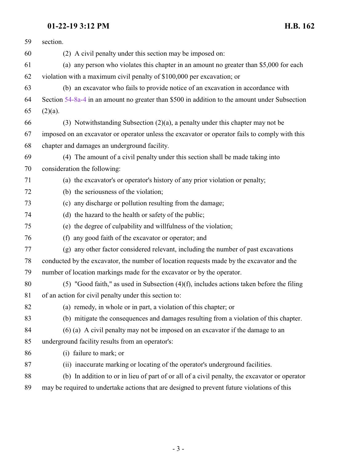### **01-22-19 3:12 PM H.B. 162**

| section.                                                                                       |
|------------------------------------------------------------------------------------------------|
| (2) A civil penalty under this section may be imposed on:                                      |
| (a) any person who violates this chapter in an amount no greater than \$5,000 for each         |
| violation with a maximum civil penalty of \$100,000 per excavation; or                         |
| (b) an excavator who fails to provide notice of an excavation in accordance with               |
| Section 54-8a-4 in an amount no greater than \$500 in addition to the amount under Subsection  |
| $(2)(a)$ .                                                                                     |
| (3) Notwithstanding Subsection $(2)(a)$ , a penalty under this chapter may not be              |
| imposed on an excavator or operator unless the excavator or operator fails to comply with this |
| chapter and damages an underground facility.                                                   |
| (4) The amount of a civil penalty under this section shall be made taking into                 |
| consideration the following:                                                                   |
| (a) the excavator's or operator's history of any prior violation or penalty;                   |
| (b) the seriousness of the violation;                                                          |
| (c) any discharge or pollution resulting from the damage;                                      |
| (d) the hazard to the health or safety of the public;                                          |
| (e) the degree of culpability and willfulness of the violation;                                |
| (f) any good faith of the excavator or operator; and                                           |
| (g) any other factor considered relevant, including the number of past excavations             |
| conducted by the excavator, the number of location requests made by the excavator and the      |
| number of location markings made for the excavator or by the operator.                         |
| $(5)$ "Good faith," as used in Subsection $(4)(f)$ , includes actions taken before the filing  |
| of an action for civil penalty under this section to:                                          |
| (a) remedy, in whole or in part, a violation of this chapter; or                               |
| (b) mitigate the consequences and damages resulting from a violation of this chapter.          |
| (6) (a) A civil penalty may not be imposed on an excavator if the damage to an                 |
| underground facility results from an operator's:                                               |
| (i) failure to mark; or                                                                        |
| (ii) inaccurate marking or locating of the operator's underground facilities.                  |
| (b) In addition to or in lieu of part of or all of a civil penalty, the excavator or operator  |
| may be required to undertake actions that are designed to prevent future violations of this    |
|                                                                                                |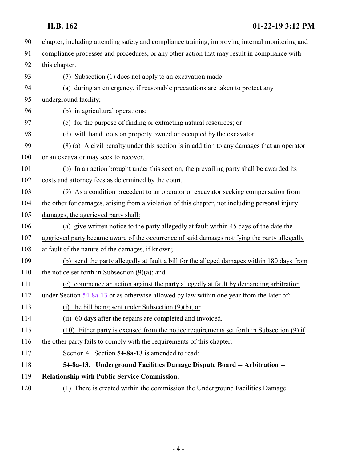## **H.B. 162 01-22-19 3:12 PM**

<span id="page-3-0"></span>

| 90  | chapter, including attending safety and compliance training, improving internal monitoring and |
|-----|------------------------------------------------------------------------------------------------|
| 91  | compliance processes and procedures, or any other action that may result in compliance with    |
| 92  | this chapter.                                                                                  |
| 93  | (7) Subsection (1) does not apply to an excavation made:                                       |
| 94  | (a) during an emergency, if reasonable precautions are taken to protect any                    |
| 95  | underground facility;                                                                          |
| 96  | (b) in agricultural operations;                                                                |
| 97  | (c) for the purpose of finding or extracting natural resources; or                             |
| 98  | (d) with hand tools on property owned or occupied by the excavator.                            |
| 99  | (8) (a) A civil penalty under this section is in addition to any damages that an operator      |
| 100 | or an excavator may seek to recover.                                                           |
| 101 | (b) In an action brought under this section, the prevailing party shall be awarded its         |
| 102 | costs and attorney fees as determined by the court.                                            |
| 103 | (9) As a condition precedent to an operator or excavator seeking compensation from             |
| 104 | the other for damages, arising from a violation of this chapter, not including personal injury |
| 105 | damages, the aggrieved party shall:                                                            |
| 106 | (a) give written notice to the party allegedly at fault within 45 days of the date the         |
| 107 | aggrieved party became aware of the occurrence of said damages notifying the party allegedly   |
| 108 | at fault of the nature of the damages, if known;                                               |
| 109 | (b) send the party allegedly at fault a bill for the alleged damages within 180 days from      |
| 110 | the notice set forth in Subsection $(9)(a)$ ; and                                              |
| 111 | (c) commence an action against the party allegedly at fault by demanding arbitration           |
| 112 | under Section $54-8a-13$ or as otherwise allowed by law within one year from the later of:     |
| 113 | (i) the bill being sent under Subsection $(9)(b)$ ; or                                         |
| 114 | 60 days after the repairs are completed and invoiced.<br>(i)                                   |
| 115 | (10) Either party is excused from the notice requirements set forth in Subsection (9) if       |
| 116 | the other party fails to comply with the requirements of this chapter.                         |
| 117 | Section 4. Section 54-8a-13 is amended to read:                                                |
| 118 | 54-8a-13. Underground Facilities Damage Dispute Board -- Arbitration --                        |
| 119 | Relationship with Public Service Commission.                                                   |
| 120 | (1) There is created within the commission the Underground Facilities Damage                   |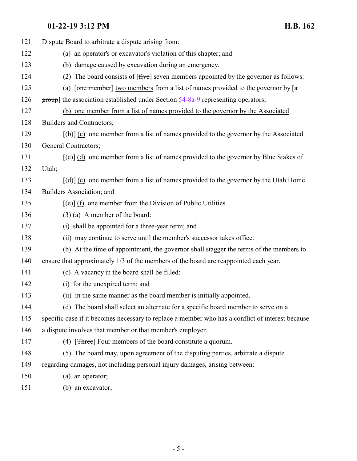# **01-22-19 3:12 PM H.B. 162**

| 121 | Dispute Board to arbitrate a dispute arising from:                                                              |
|-----|-----------------------------------------------------------------------------------------------------------------|
| 122 | (a) an operator's or excavator's violation of this chapter; and                                                 |
| 123 | (b) damage caused by excavation during an emergency.                                                            |
| 124 | (2) The board consists of $[\text{five}]$ seven members appointed by the governor as follows:                   |
| 125 | (a) [one member] two members from a list of names provided to the governor by $\lceil a \rceil$                 |
| 126 | group] the association established under Section 54-8a-9 representing operators;                                |
| 127 | (b) one member from a list of names provided to the governor by the Associated                                  |
| 128 | Builders and Contractors;                                                                                       |
| 129 | $[\text{fb}]$ (c) one member from a list of names provided to the governor by the Associated                    |
| 130 | <b>General Contractors;</b>                                                                                     |
| 131 | $[\text{e}^{-\text{e}}]$ (d) one member from a list of names provided to the governor by Blue Stakes of         |
| 132 | Utah;                                                                                                           |
| 133 | $[\text{d} \cdot \text{d} \cdot]$ (e) one member from a list of names provided to the governor by the Utah Home |
| 134 | Builders Association; and                                                                                       |
| 135 | $[\text{e}(\text{e})]$ (f) one member from the Division of Public Utilities.                                    |
| 136 | $(3)$ (a) A member of the board:                                                                                |
| 137 | (i) shall be appointed for a three-year term; and                                                               |
| 138 | (ii) may continue to serve until the member's successor takes office.                                           |
| 139 | (b) At the time of appointment, the governor shall stagger the terms of the members to                          |
| 140 | ensure that approximately 1/3 of the members of the board are reappointed each year.                            |
| 141 | (c) A vacancy in the board shall be filled:                                                                     |
| 142 | (i) for the unexpired term; and                                                                                 |
| 143 | (ii) in the same manner as the board member is initially appointed.                                             |
| 144 | (d) The board shall select an alternate for a specific board member to serve on a                               |
| 145 | specific case if it becomes necessary to replace a member who has a conflict of interest because                |
| 146 | a dispute involves that member or that member's employer.                                                       |
| 147 | (4) [ <del>Three</del> ] Four members of the board constitute a quorum.                                         |
| 148 | (5) The board may, upon agreement of the disputing parties, arbitrate a dispute                                 |
| 149 | regarding damages, not including personal injury damages, arising between:                                      |
| 150 | (a) an operator;                                                                                                |
| 151 | (b) an excavator;                                                                                               |